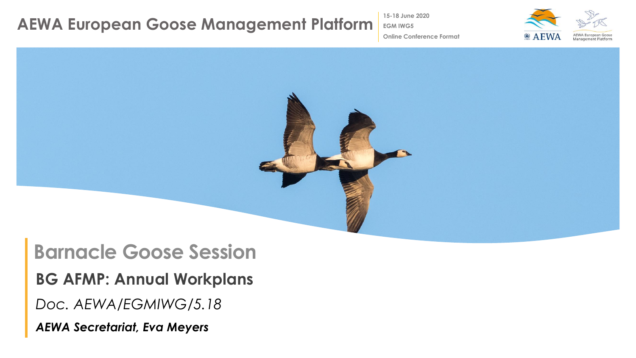**15-18 June 2020**

**EGM IWG5**



**Online Conference Format**



## **Barnacle Goose Session**

**BG AFMP: Annual Workplans**

*Doc. AEWA/EGMIWG/5.18*

*AEWA Secretariat, Eva Meyers*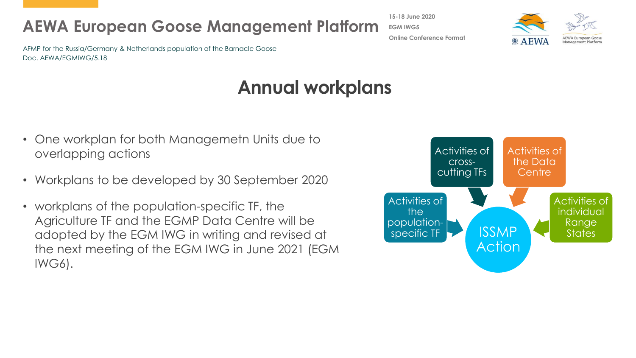AFMP for the Russia/Germany & Netherlands population of the Barnacle Goose Doc. AEWA/EGMIWG/5.18

## **Annual workplans**

- One workplan for both Managemetn Units due to overlapping actions
- Workplans to be developed by 30 September 2020
- workplans of the population-specific TF, the Agriculture TF and the EGMP Data Centre will be adopted by the EGM IWG in writing and revised at the next meeting of the EGM IWG in June 2021 (EGM IWG6).



**15-18 June 2020 EGM IWG5 Online Conference Format**

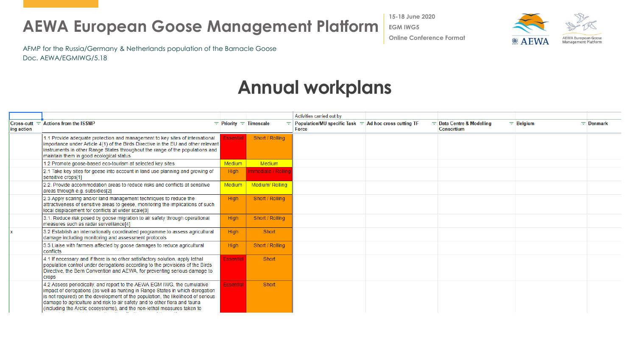**15-18 June 2020 EGM IWG5**



**Online Conference Format**

AFMP for the Russia/Germany & Netherlands population of the Barnacle Goose Doc. AEWA/EGMIWG/5.18

## **Annual workplans**

|            |                                                                                                                                                                                                                                                                                                                                                                                                      |                            |                     | Activities carried out by                                                               |                                                       |             |                  |
|------------|------------------------------------------------------------------------------------------------------------------------------------------------------------------------------------------------------------------------------------------------------------------------------------------------------------------------------------------------------------------------------------------------------|----------------------------|---------------------|-----------------------------------------------------------------------------------------|-------------------------------------------------------|-------------|------------------|
| ing action | $Cross-cut = Actions from the ISSMP$                                                                                                                                                                                                                                                                                                                                                                 | $=$ Priority $=$ Timescale | ÷                   | <b>Population/MU specific Task <math>\equiv</math> Ad hoc cross cutting TF</b><br>Force | $\equiv$ Data Centre & Modelling<br><b>Consortium</b> | $=$ Belgium | $\equiv$ Denmark |
|            | 1.1 Provide adequate protection and management to key sites of international<br>importance under Article 4(1) of the Birds Directive in the EU and other relevant<br>instruments in other Range States throughout the range of the populations and<br>maintain them in good ecological status                                                                                                        | <b>Essential</b>           | Short / Rolling     |                                                                                         |                                                       |             |                  |
|            | 1.2 Promote goose-based eco-tourism at selected key sites                                                                                                                                                                                                                                                                                                                                            | Medium                     | <b>Medium</b>       |                                                                                         |                                                       |             |                  |
|            | 2.1 Take key sites for geese into account in land use planning and growing of<br>sensitive crops[1]                                                                                                                                                                                                                                                                                                  | <b>High</b>                | Immediate / Rolling |                                                                                         |                                                       |             |                  |
|            | 2.2. Provide accommodation areas to reduce risks and conflicts at sensitive<br>areas through e.g. subsidies[2]                                                                                                                                                                                                                                                                                       | Medium                     | Medium/Rolling      |                                                                                         |                                                       |             |                  |
|            | 2.3 Apply scaring and/or land management techniques to reduce the<br>attractiveness of sensitive areas to geese, monitoring the implications of such<br>local displacement for conflicts at wider scale[3]                                                                                                                                                                                           | <b>High</b>                | Short / Rolling     |                                                                                         |                                                       |             |                  |
|            | 3.1. Reduce risk posed by goose migration to air safety through operational<br>measures such as radar surveillance[4]                                                                                                                                                                                                                                                                                | High                       | Short / Rolling     |                                                                                         |                                                       |             |                  |
|            | 3.2 Establish an internationally coordinated programme to assess agricultural<br>damage including monitoring and assessment protocols                                                                                                                                                                                                                                                                | <b>High</b>                | Short               |                                                                                         |                                                       |             |                  |
|            | 3.3 Liaise with farmers affected by goose damages to reduce agricultural<br>conflicts                                                                                                                                                                                                                                                                                                                | <b>High</b>                | Short / Rolling     |                                                                                         |                                                       |             |                  |
|            | 4.1 If necessary and if there is no other satisfactory solution, apply lethal<br>population control under derogations according to the provisions of the Birds<br>Directive, the Bern Convention and AEWA, for preventing serious damage to<br>crops                                                                                                                                                 | <b>Essential</b>           | Short               |                                                                                         |                                                       |             |                  |
|            | 4.2 Assess periodically, and report to the AEWA EGM IWG, the cumulative<br>impact of derogations (as well as hunting in Range States in which derogation<br>is not required) on the development of the population, the likelihood of serious<br>damage to agriculture and risk to air safety and to other flora and fauna<br>(including the Arctic ecosystems), and the non-lethal measures taken to | <b>Essential</b>           | Short               |                                                                                         |                                                       |             |                  |